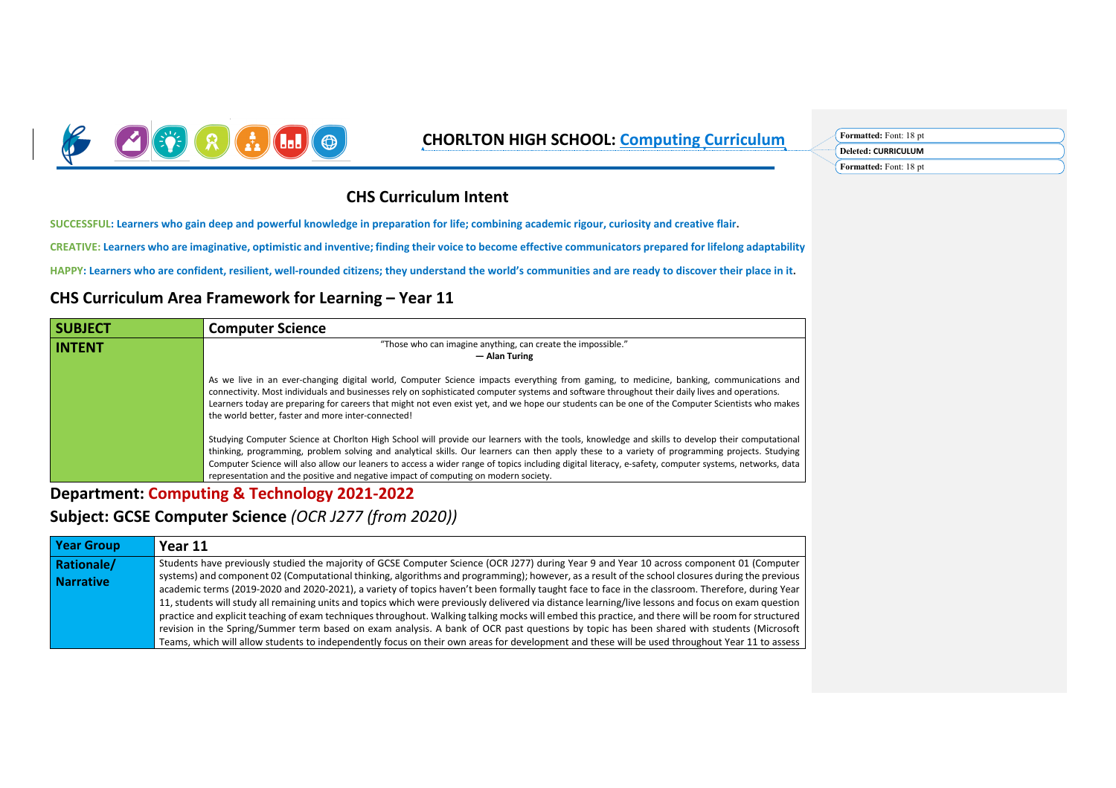

### **CHORLTON HIGH SCHOOL: Computing Curriculum Formatted: Font: 18 pt**

## **Deleted: CURRICULUM Formatted:** Font: 18 pt

### **CHS Curriculum Intent**

**SUCCESSFUL: Learners who gain deep and powerful knowledge in preparation for life; combining academic rigour, curiosity and creative flair.**

**CREATIVE: Learners who are imaginative, optimistic and inventive; finding their voice to become effective communicators prepared for lifelong adaptability**

**HAPPY: Learners who are confident, resilient, well-rounded citizens; they understand the world's communities and are ready to discover their place in it.**

#### **CHS Curriculum Area Framework for Learning – Year 11**

| <b>SUBJECT</b>                                                                | <b>Computer Science</b>                                                                                                                                                                                                                                                                                                                                                                                                                                                                             |  |  |  |  |
|-------------------------------------------------------------------------------|-----------------------------------------------------------------------------------------------------------------------------------------------------------------------------------------------------------------------------------------------------------------------------------------------------------------------------------------------------------------------------------------------------------------------------------------------------------------------------------------------------|--|--|--|--|
| "Those who can imagine anything, can create the impossible."<br><b>INTENT</b> |                                                                                                                                                                                                                                                                                                                                                                                                                                                                                                     |  |  |  |  |
|                                                                               | - Alan Turing                                                                                                                                                                                                                                                                                                                                                                                                                                                                                       |  |  |  |  |
|                                                                               | As we live in an ever-changing digital world, Computer Science impacts everything from gaming, to medicine, banking, communications and<br>connectivity. Most individuals and businesses rely on sophisticated computer systems and software throughout their daily lives and operations.<br>Learners today are preparing for careers that might not even exist yet, and we hope our students can be one of the Computer Scientists who makes<br>the world better, faster and more inter-connected! |  |  |  |  |
|                                                                               | Studying Computer Science at Chorlton High School will provide our learners with the tools, knowledge and skills to develop their computational<br>thinking, programming, problem solving and analytical skills. Our learners can then apply these to a variety of programming projects. Studying<br>Computer Science will also allow our leaners to access a wider range of topics including digital literacy, e-safety, computer systems, networks, data                                          |  |  |  |  |
|                                                                               | representation and the positive and negative impact of computing on modern society.                                                                                                                                                                                                                                                                                                                                                                                                                 |  |  |  |  |

**Department: Computing & Technology 2021-2022**

**Subject: GCSE Computer Science** *(OCR J277 (from 2020))*

| <b>Year Group</b> | Year 11                                                                                                                                                                                                                                                                                                                                                                                                                                                                                                                                                                                                    |
|-------------------|------------------------------------------------------------------------------------------------------------------------------------------------------------------------------------------------------------------------------------------------------------------------------------------------------------------------------------------------------------------------------------------------------------------------------------------------------------------------------------------------------------------------------------------------------------------------------------------------------------|
| Rationale/        | Students have previously studied the majority of GCSE Computer Science (OCR J277) during Year 9 and Year 10 across component 01 (Computer                                                                                                                                                                                                                                                                                                                                                                                                                                                                  |
| <b>Narrative</b>  | systems) and component 02 (Computational thinking, algorithms and programming); however, as a result of the school closures during the previous<br>academic terms (2019-2020 and 2020-2021), a variety of topics haven't been formally taught face to face in the classroom. Therefore, during Year                                                                                                                                                                                                                                                                                                        |
|                   | 11, students will study all remaining units and topics which were previously delivered via distance learning/live lessons and focus on exam question<br>practice and explicit teaching of exam techniques throughout. Walking talking mocks will embed this practice, and there will be room for structured<br>revision in the Spring/Summer term based on exam analysis. A bank of OCR past questions by topic has been shared with students (Microsoft<br>Teams, which will allow students to independently focus on their own areas for development and these will be used throughout Year 11 to assess |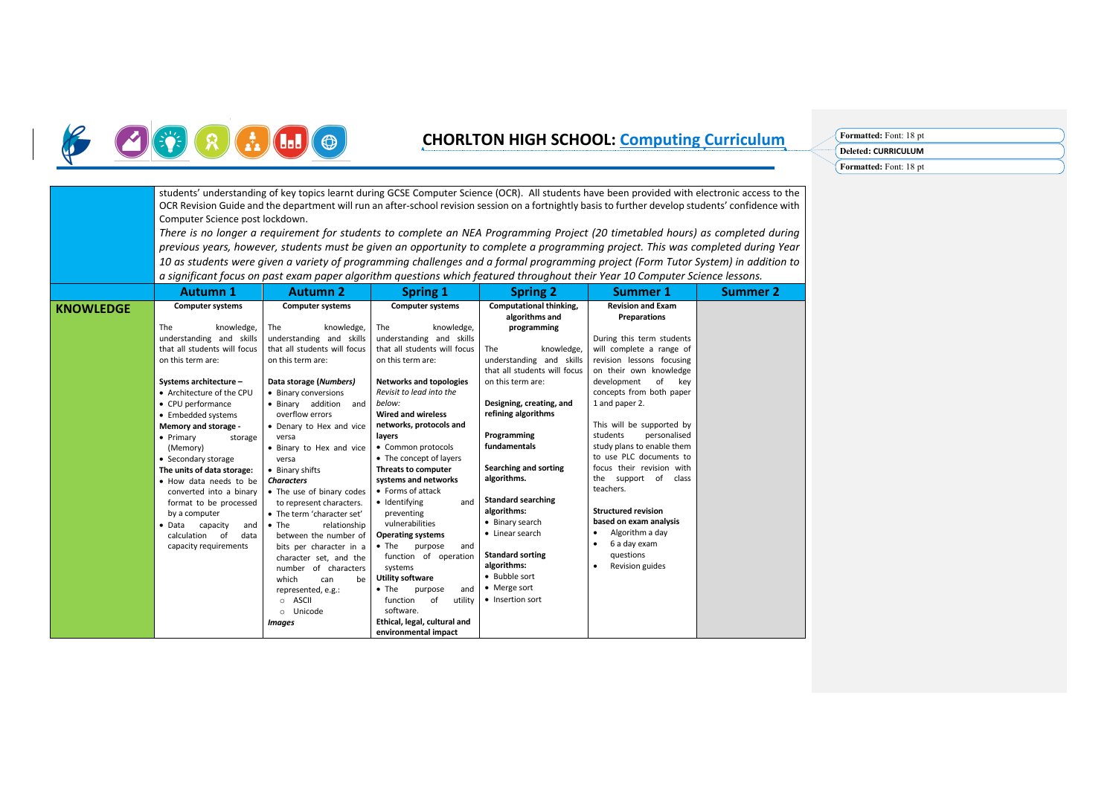# B OGREGO

### **CHORLTON HIGH SCHOOL: Computing Curriculum Formatted:** Font: <sup>18</sup> pt

| Formatted: Font: 18 pt |  |
|------------------------|--|
| Deleted: CURRICULUM    |  |
| Formatted: Font: 18 pt |  |

|                  | students' understanding of key topics learnt during GCSE Computer Science (OCR). All students have been provided with electronic access to the<br>OCR Revision Guide and the department will run an after-school revision session on a fortnightly basis to further develop students' confidence with<br>Computer Science post lockdown.<br>There is no longer a requirement for students to complete an NEA Programming Project (20 timetabled hours) as completed during<br>previous years, however, students must be given an opportunity to complete a programming project. This was completed during Year<br>10 as students were given a variety of programming challenges and a formal programming project (Form Tutor System) in addition to<br>a significant focus on past exam paper algorithm questions which featured throughout their Year 10 Computer Science lessons. |                                                                                                                                                                                                                                                                                                                                                                                                                                                                                                                                                                                                                                                                                            |                                                                                                                                                                                                                                                                                                                                                                                                                                                                                                                                                                                                                                                                                                                          |                                                                                                                                                                                                                                                                                                                                                                                                                                                                           |                                                                                                                                                                                                                                                                                                                                                                                                                                                                                                                                                                             |                 |
|------------------|-------------------------------------------------------------------------------------------------------------------------------------------------------------------------------------------------------------------------------------------------------------------------------------------------------------------------------------------------------------------------------------------------------------------------------------------------------------------------------------------------------------------------------------------------------------------------------------------------------------------------------------------------------------------------------------------------------------------------------------------------------------------------------------------------------------------------------------------------------------------------------------|--------------------------------------------------------------------------------------------------------------------------------------------------------------------------------------------------------------------------------------------------------------------------------------------------------------------------------------------------------------------------------------------------------------------------------------------------------------------------------------------------------------------------------------------------------------------------------------------------------------------------------------------------------------------------------------------|--------------------------------------------------------------------------------------------------------------------------------------------------------------------------------------------------------------------------------------------------------------------------------------------------------------------------------------------------------------------------------------------------------------------------------------------------------------------------------------------------------------------------------------------------------------------------------------------------------------------------------------------------------------------------------------------------------------------------|---------------------------------------------------------------------------------------------------------------------------------------------------------------------------------------------------------------------------------------------------------------------------------------------------------------------------------------------------------------------------------------------------------------------------------------------------------------------------|-----------------------------------------------------------------------------------------------------------------------------------------------------------------------------------------------------------------------------------------------------------------------------------------------------------------------------------------------------------------------------------------------------------------------------------------------------------------------------------------------------------------------------------------------------------------------------|-----------------|
|                  | <b>Autumn 1</b>                                                                                                                                                                                                                                                                                                                                                                                                                                                                                                                                                                                                                                                                                                                                                                                                                                                                     | <b>Autumn 2</b>                                                                                                                                                                                                                                                                                                                                                                                                                                                                                                                                                                                                                                                                            | <b>Spring 1</b>                                                                                                                                                                                                                                                                                                                                                                                                                                                                                                                                                                                                                                                                                                          | <b>Spring 2</b>                                                                                                                                                                                                                                                                                                                                                                                                                                                           | <b>Summer 1</b>                                                                                                                                                                                                                                                                                                                                                                                                                                                                                                                                                             | <b>Summer 2</b> |
| <b>KNOWLEDGE</b> | <b>Computer systems</b><br>The<br>knowledge,<br>understanding and skills<br>that all students will focus<br>on this term are:<br>Systems architecture -<br>• Architecture of the CPU<br>• CPU performance<br>• Embedded systems<br>Memory and storage -<br>• Primary<br>storage<br>(Memory)<br>• Secondary storage<br>The units of data storage:<br>. How data needs to be<br>converted into a binary<br>format to be processed<br>by a computer<br>capacity<br>$\bullet$ Data<br>and<br>of<br>data<br>calculation<br>capacity requirements                                                                                                                                                                                                                                                                                                                                         | <b>Computer systems</b><br>knowledge,<br><b>The</b><br>understanding and skills<br>that all students will focus<br>on this term are:<br>Data storage (Numbers)<br>• Binary conversions<br>• Binary addition<br>and<br>overflow errors<br>• Denary to Hex and vice<br>versa<br>• Binary to Hex and vice<br>versa<br>• Binary shifts<br><b>Characters</b><br>• The use of binary codes<br>to represent characters.<br>• The term 'character set'<br>$\bullet$ The<br>relationship<br>between the number of<br>bits per character in a<br>character set, and the<br>number of characters<br>which<br>be<br>can<br>represented, e.g.:<br><b>ASCII</b><br>$\circ$<br>o Unicode<br><b>Images</b> | <b>Computer systems</b><br>The<br>knowledge,<br>understanding and skills<br>that all students will focus<br>on this term are:<br><b>Networks and topologies</b><br>Revisit to lead into the<br>below:<br><b>Wired and wireless</b><br>networks, protocols and<br>layers<br>• Common protocols<br>• The concept of layers<br>Threats to computer<br>systems and networks<br>• Forms of attack<br>· Identifying<br>and<br>preventing<br>vulnerabilities<br><b>Operating systems</b><br>$\bullet$ The<br>purpose<br>and<br>function of operation<br>systems<br><b>Utility software</b><br>$\bullet$ The<br>and<br>purpose<br>of<br>function<br>utility<br>software.<br>Ethical, legal, cultural and<br>environmental impact | Computational thinking,<br>algorithms and<br>programming<br>The<br>knowledge,<br>understanding and skills<br>that all students will focus<br>on this term are:<br>Designing, creating, and<br>refining algorithms<br>Programming<br>fundamentals<br>Searching and sorting<br>algorithms.<br><b>Standard searching</b><br>algorithms:<br>• Binary search<br>• Linear search<br><b>Standard sorting</b><br>algorithms:<br>• Bubble sort<br>• Merge sort<br>• Insertion sort | <b>Revision and Exam</b><br>Preparations<br>During this term students<br>will complete a range of<br>revision lessons focusing<br>on their own knowledge<br>development<br>of<br>key<br>concepts from both paper<br>1 and paper 2.<br>This will be supported by<br>students<br>personalised<br>study plans to enable them<br>to use PLC documents to<br>focus their revision with<br>the support of class<br>teachers.<br><b>Structured revision</b><br>based on exam analysis<br>Algorithm a day<br>6 a day exam<br>$\bullet$<br>questions<br>Revision guides<br>$\bullet$ |                 |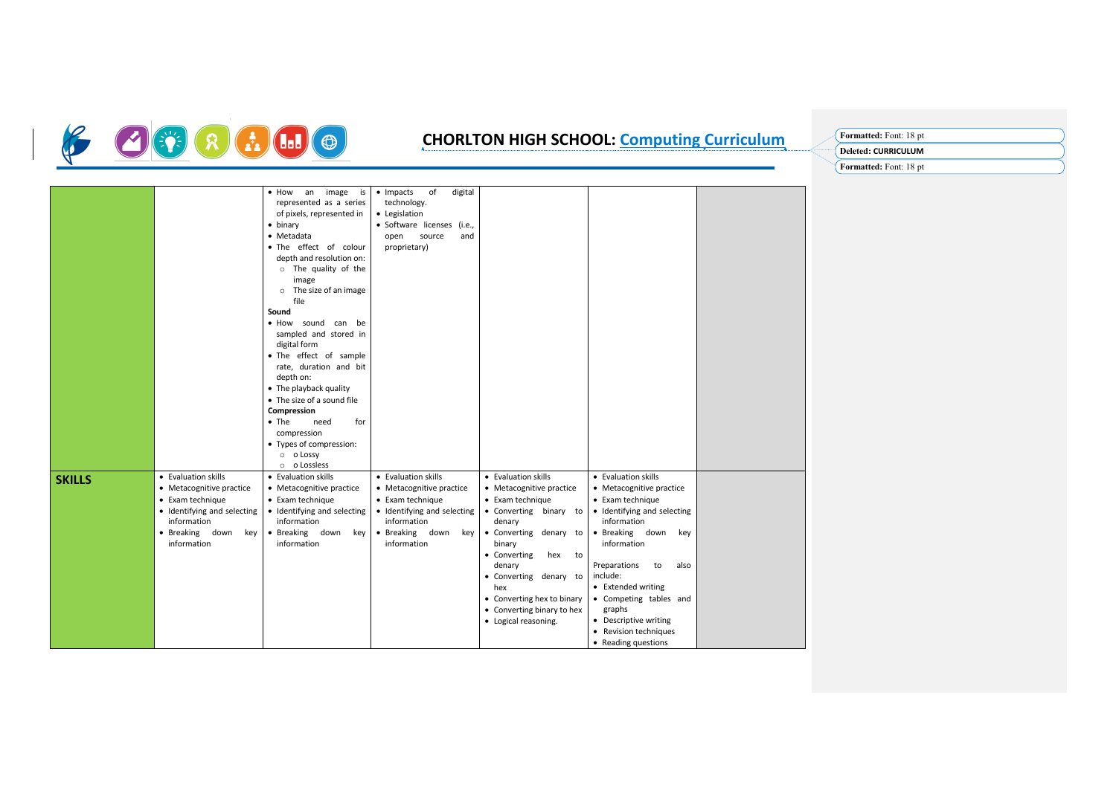

## **CHORLTON HIGH SCHOOL: Computing Curriculum Formatted:** Font: <sup>18</sup> pt

| <b>Formatted:</b> Font: 18 pt |
|-------------------------------|
| Deleted: CURRICULUM           |
| Formatted: Font: 18 pt        |

|               |                             | image<br>$\bullet$ How<br>an<br>is | • Impacts<br>of<br>digital  |                            |                             |  |
|---------------|-----------------------------|------------------------------------|-----------------------------|----------------------------|-----------------------------|--|
|               |                             | represented as a series            | technology.                 |                            |                             |  |
|               |                             | of pixels, represented in          | • Legislation               |                            |                             |  |
|               |                             | • binary                           | · Software licenses (i.e.,  |                            |                             |  |
|               |                             | • Metadata                         | source<br>open<br>and       |                            |                             |  |
|               |                             | . The effect of colour             | proprietary)                |                            |                             |  |
|               |                             | depth and resolution on:           |                             |                            |                             |  |
|               |                             | o The quality of the               |                             |                            |                             |  |
|               |                             | image                              |                             |                            |                             |  |
|               |                             | The size of an image<br>$\circ$    |                             |                            |                             |  |
|               |                             | file                               |                             |                            |                             |  |
|               |                             | Sound                              |                             |                            |                             |  |
|               |                             | . How sound can be                 |                             |                            |                             |  |
|               |                             | sampled and stored in              |                             |                            |                             |  |
|               |                             | digital form                       |                             |                            |                             |  |
|               |                             | • The effect of sample             |                             |                            |                             |  |
|               |                             | rate, duration and bit             |                             |                            |                             |  |
|               |                             | depth on:                          |                             |                            |                             |  |
|               |                             | • The playback quality             |                             |                            |                             |  |
|               |                             | • The size of a sound file         |                             |                            |                             |  |
|               |                             | Compression                        |                             |                            |                             |  |
|               |                             | $\bullet$ The<br>for<br>need       |                             |                            |                             |  |
|               |                             | compression                        |                             |                            |                             |  |
|               |                             | • Types of compression:            |                             |                            |                             |  |
|               |                             | o o Lossy                          |                             |                            |                             |  |
|               |                             | o <b>o</b> Lossless                |                             |                            |                             |  |
| <b>SKILLS</b> | • Evaluation skills         | • Evaluation skills                | • Evaluation skills         | • Evaluation skills        | • Evaluation skills         |  |
|               | • Metacognitive practice    | • Metacognitive practice           | • Metacognitive practice    | • Metacognitive practice   | • Metacognitive practice    |  |
|               | • Exam technique            | • Exam technique                   | • Exam technique            | • Exam technique           | • Exam technique            |  |
|               | • Identifying and selecting | • Identifying and selecting        | • Identifying and selecting | • Converting binary to     | • Identifying and selecting |  |
|               | information                 | information                        | information                 | denary                     | information                 |  |
|               | · Breaking down<br>key      | · Breaking down<br>key             | · Breaking down<br>key      | • Converting denary to     | · Breaking down<br>key      |  |
|               | information                 | information                        | information                 | binary                     | information                 |  |
|               |                             |                                    |                             | • Converting<br>hex to     |                             |  |
|               |                             |                                    |                             | denary                     | Preparations<br>to<br>also  |  |
|               |                             |                                    |                             | • Converting denary to     | include:                    |  |
|               |                             |                                    |                             | hex                        | • Extended writing          |  |
|               |                             |                                    |                             | • Converting hex to binary | • Competing tables and      |  |
|               |                             |                                    |                             | • Converting binary to hex | graphs                      |  |
|               |                             |                                    |                             | • Logical reasoning.       | • Descriptive writing       |  |
|               |                             |                                    |                             |                            | • Revision techniques       |  |
|               |                             |                                    |                             |                            | • Reading questions         |  |